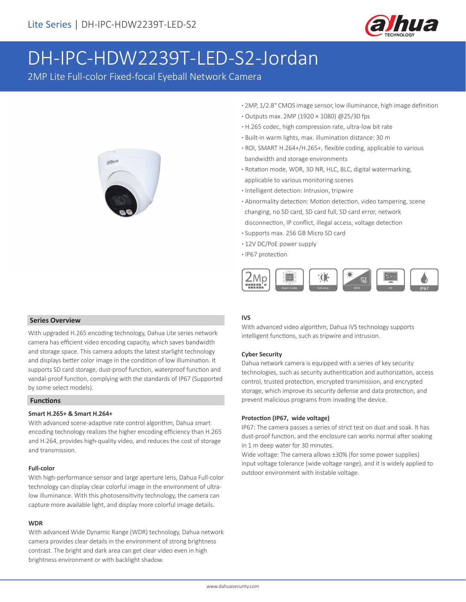

# DH-IPC-HDW2239T-LED-S2-Jordan

2MP Lite Full-color Fixed-focal Eyeball Network Camera



- **·** 2MP, 1/2.8" CMOS image sensor, low illuminance, high image definition
- **·** Outputs max. 2MP (1920 × 1080) @25/30 fps
- **·** H.265 codec, high compression rate, ultra-low bit rate
- **·** Built-in warm lights, max. illumination distance: 30 m
- **·** ROI, SMART H.264+/H.265+, flexible coding, applicable to various bandwidth and storage environments
- **·** Rotation mode, WDR, 3D NR, HLC, BLC, digital watermarking, applicable to various monitoring scenes
- **·** Intelligent detection: Intrusion, tripwire
- **·** Abnormality detection: Motion detection, video tampering, scene changing, no SD card, SD card full, SD card error, network disconnection, IP conflict, illegal access, voltage detection
- **·** Supports max. 256 GB Micro SD card
- **·** 12V DC/PoE power supply
- **·** IP67 protection



### **Series Overview**

With upgraded H.265 encoding technology, Dahua Lite series network camera has efficient video encoding capacity, which saves bandwidth and storage space. This camera adopts the latest starlight technology and displays better color image in the condition of low illumination. It supports SD card storage, dust-proof function, waterproof function and vandal-proof function, complying with the standards of IP67 (Supported by some select models).

## **Functions**

### **Smart H.265+ & Smart H.264+**

With advanced scene-adaptive rate control algorithm, Dahua smart encoding technology realizes the higher encoding efficiency than H.265 and H.264, provides high-quality video, and reduces the cost of storage and transmission.

### **Full-color**

With high-performance sensor and large aperture lens, Dahua Full-color technology can display clear colorful image in the environment of ultralow illuminance. With this photosensitivity technology, the camera can capture more available light, and display more colorful image details.

#### **WDR**

With advanced Wide Dynamic Range (WDR) technology, Dahua network camera provides clear details in the environment of strong brightness contrast. The bright and dark area can get clear video even in high brightness environment or with backlight shadow.

# **IVS**

With advanced video algorithm, Dahua IVS technology supports intelligent functions, such as tripwire and intrusion.

### **Cyber Security**

Dahua network camera is equipped with a series of key security technologies, such as security authentication and authorization, access control, trusted protection, encrypted transmission, and encrypted storage, which improve its security defense and data protection, and prevent malicious programs from invading the device.

### **Protection (IP67, wide voltage)**

IP67: The camera passes a series of strict test on dust and soak. It has dust-proof function, and the enclosure can works normal after soaking in 1 m deep water for 30 minutes.

Wide voltage: The camera allows ±30% (for some power supplies) input voltage tolerance (wide voltage range), and it is widely applied to outdoor environment with instable voltage.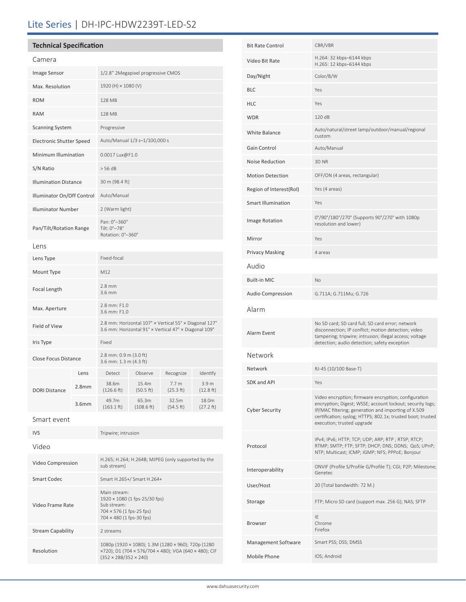# Lite Series | DH-IPC-HDW2239T-LED-S2

# **Technical Specification**

Video Frame Rate

Resolution

Stream Capability 2 streams

| Camera                       |                   |                                                                                                                 |                     |                               |                    |
|------------------------------|-------------------|-----------------------------------------------------------------------------------------------------------------|---------------------|-------------------------------|--------------------|
| Image Sensor                 |                   | 1/2.8" 2Megapixel progressive CMOS                                                                              |                     |                               |                    |
| Max. Resolution              |                   | 1920 (H) × 1080 (V)                                                                                             |                     |                               |                    |
| <b>ROM</b>                   |                   | 128 MB                                                                                                          |                     |                               |                    |
| <b>RAM</b>                   |                   | 128 MB                                                                                                          |                     |                               |                    |
| <b>Scanning System</b>       |                   | Progressive                                                                                                     |                     |                               |                    |
| Electronic Shutter Speed     |                   | Auto/Manual 1/3 s-1/100,000 s                                                                                   |                     |                               |                    |
| Minimum Illumination         |                   | 0.0017 Lux@F1.0                                                                                                 |                     |                               |                    |
| S/N Ratio                    |                   | > 56 dB                                                                                                         |                     |                               |                    |
| <b>Illumination Distance</b> |                   | 30 m (98.4 ft)                                                                                                  |                     |                               |                    |
| Illuminator On/Off Control   |                   | Auto/Manual                                                                                                     |                     |                               |                    |
| <b>Illuminator Number</b>    |                   | 2 (Warm light)                                                                                                  |                     |                               |                    |
| Pan/Tilt/Rotation Range      |                   | Pan: 0°-360°<br>Tilt: 0°-78°<br>Rotation: 0°-360°                                                               |                     |                               |                    |
| Lens                         |                   |                                                                                                                 |                     |                               |                    |
| Lens Type                    |                   | Fixed-focal                                                                                                     |                     |                               |                    |
| Mount Type                   |                   | M12                                                                                                             |                     |                               |                    |
| Focal Length                 |                   | $2.8$ mm<br>3.6 mm                                                                                              |                     |                               |                    |
| Max. Aperture                |                   | 2.8 mm: F1.0<br>3.6 mm: F1.0                                                                                    |                     |                               |                    |
| Field of View                |                   | 2.8 mm: Horizontal 107° x Vertical 55° x Diagonal 127°<br>3.6 mm: Horizontal 91° x Vertical 47° x Diagonal 109° |                     |                               |                    |
| Iris Type                    |                   | Fixed                                                                                                           |                     |                               |                    |
| Close Focus Distance         |                   | 2.8 mm: 0.9 m (3.0 ft)<br>3.6 mm: 1.3 m (4.3 ft)                                                                |                     |                               |                    |
|                              | Lens              | Detect                                                                                                          | Observe             | Recognize                     | Identify           |
| <b>DORI Distance</b>         | 2.8 <sub>mm</sub> | 38.6m<br>(126.6 ft)                                                                                             | 15.4m<br>(50.5 ft)  | 7.7 <sub>m</sub><br>(25.3 ft) | 3.9 m<br>(12.8 ft) |
|                              | 3.6 <sub>mm</sub> | 49.7m<br>(163.1 ft)                                                                                             | 65.3m<br>(108.6 ft) | 32.5m<br>(54.5 ft)            | 18.0m<br>(27.2 ft) |
| Smart event                  |                   |                                                                                                                 |                     |                               |                    |
| <b>IVS</b>                   |                   | Tripwire; intrusion                                                                                             |                     |                               |                    |
| Video                        |                   |                                                                                                                 |                     |                               |                    |
| Video Compression            |                   | H.265; H.264; H.264B; MJPEG (only supported by the<br>sub stream)                                               |                     |                               |                    |
| <b>Smart Codec</b>           |                   | Smart H.265+/ Smart H.264+                                                                                      |                     |                               |                    |
|                              |                   | Main stream:                                                                                                    |                     |                               |                    |

1920 × 1080 (1 fps-25/30 fps)

(352 × 288/352 × 240)

1080p (1920 × 1080); 1.3M (1280 × 960); 720p (1280 ×720); D1 (704 × 576/704 × 480); VGA (640 × 480); CIF

Sub stream: 704 × 576 (1 fps-25 fps) 704 × 480 (1 fps-30 fps)

| <b>Bit Rate Control</b>             | CBR/VBR                                                                                                                                                                                                                                                               |
|-------------------------------------|-----------------------------------------------------------------------------------------------------------------------------------------------------------------------------------------------------------------------------------------------------------------------|
| Video Bit Rate                      | H.264: 32 kbps-6144 kbps<br>H.265: 12 kbps-6144 kbps                                                                                                                                                                                                                  |
| Day/Night                           | Color/B/W                                                                                                                                                                                                                                                             |
| BLC                                 | Yes                                                                                                                                                                                                                                                                   |
| HLC                                 | Yes                                                                                                                                                                                                                                                                   |
| WDR                                 | 120dB                                                                                                                                                                                                                                                                 |
| White Balance                       | Auto/natural/street lamp/outdoor/manual/regional<br>custom                                                                                                                                                                                                            |
| Gain Control                        | Auto/Manual                                                                                                                                                                                                                                                           |
| Noise Reduction                     | 3D NR                                                                                                                                                                                                                                                                 |
| <b>Motion Detection</b>             | OFF/ON (4 areas, rectangular)                                                                                                                                                                                                                                         |
| Region of Interest(RoI)             | Yes (4 areas)                                                                                                                                                                                                                                                         |
| <b>Smart Illumination</b>           | Yes                                                                                                                                                                                                                                                                   |
| Image Rotation                      | 0°/90°/180°/270° (Supports 90°/270° with 1080p<br>resolution and lower)                                                                                                                                                                                               |
| Mirror                              | Yes                                                                                                                                                                                                                                                                   |
| Privacy Masking                     | 4 areas                                                                                                                                                                                                                                                               |
| Audio                               |                                                                                                                                                                                                                                                                       |
| Built-in MIC                        | No                                                                                                                                                                                                                                                                    |
| Audio Compression                   | G.711A; G.711Mu; G.726                                                                                                                                                                                                                                                |
| Alarm                               |                                                                                                                                                                                                                                                                       |
| Alarm Event                         | No SD card; SD card full; SD card error; network<br>disconnection; IP conflict; motion detection; video<br>tampering; tripwire; intrusion; illegal access; voltage<br>detection; audio detection; safety exception                                                    |
| Network                             |                                                                                                                                                                                                                                                                       |
| Network                             | RJ-45 (10/100 Base-T)                                                                                                                                                                                                                                                 |
| <b>SDK and API</b>                  | Yes                                                                                                                                                                                                                                                                   |
| Cyber Security                      | Video encryption; firmware encryption; configuration<br>encryption; Digest; WSSE; account lockout; security logs;<br>IP/MAC filtering; generation and importing of X.509<br>certification; syslog; HTTPS; 802.1x; trusted boot; trusted<br>execution; trusted upgrade |
| Protocol                            | IPv4; IPv6; HTTP; TCP; UDP; ARP; RTP; RTSP; RTCP;<br>RTMP; SMTP; FTP; SFTP; DHCP; DNS; DDNS; QoS; UPnP;<br>NTP; Multicast; ICMP; IGMP; NFS; PPPoE; Bonjour                                                                                                            |
| Interoperability                    | ONVIF (Profile S/Profile G/Profile T); CGI; P2P; Milestone;<br>Genetec                                                                                                                                                                                                |
| User/Host                           | 20 (Total bandwidth: 72 M.)                                                                                                                                                                                                                                           |
| Storage                             | FTP; Micro SD card (support max. 256 G); NAS; SFTP                                                                                                                                                                                                                    |
| Browser                             | IE                                                                                                                                                                                                                                                                    |
|                                     | Chrome<br>Firefox                                                                                                                                                                                                                                                     |
|                                     | Smart PSS; DSS; DMSS                                                                                                                                                                                                                                                  |
| Management Software<br>Mobile Phone | IOS; Android                                                                                                                                                                                                                                                          |